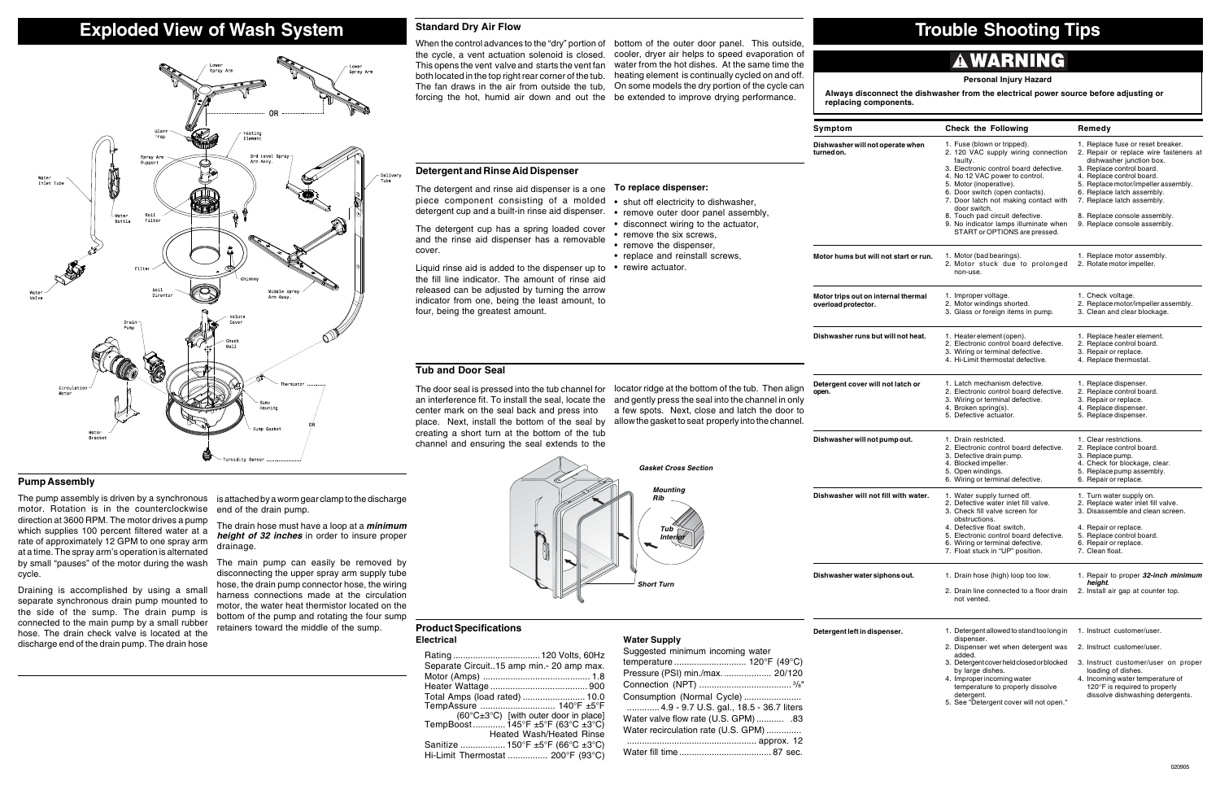# **Tub and Door Seal**

## **Product Specifications Electrical**

| Rating  120 Volts, 60Hz<br>Separate Circuit15 amp min.- 20 amp max. |
|---------------------------------------------------------------------|
|                                                                     |
|                                                                     |
| Total Amps (load rated)  10.0                                       |
| TempAssure  140°F ±5°F                                              |
| $(60^{\circ}C \pm 3^{\circ}C)$ [with outer door in place]           |
| TempBoost 145°F ±5°F (63°C ±3°C)                                    |
| Heated Wash/Heated Rinse                                            |
| Sanitize  150°F ±5°F (66°C ±3°C)                                    |
| Hi-Limit Thermostat  200°F (93°C)                                   |

## **Detergent left in dispens**

**Water Supply**

**Dishwasher will not fill** 

| Suggested minimum incoming water         |
|------------------------------------------|
| temperature  120°F (49°C)                |
| Pressure (PSI) min./max.  20/120         |
|                                          |
| Consumption (Normal Cycle)               |
| 4.9 - 9.7 U.S. gal., 18.5 - 36.7 liters  |
| 83. Water valve flow rate (U.S. GPM) .83 |
| Water recirculation rate (U.S. GPM)      |
|                                          |
|                                          |
|                                          |

# **A WARNING**

# **To replace dispenser:**

- shut off electricity to dishwasher,
- remove outer door panel assembly,
- disconnect wiring to the actuator,
- remove the six screws,
- remove the dispenser,
- replace and reinstall screws,
- rewire actuator.

The pump assembly is driven by a synchronous  $\;\;$  is attached by a worm gear clamp to the discharge end of the drain pump.

by small "pauses" of the motor during the wash The main pump can easily be removed by disconnecting the upper spray arm supply tube hose, the drain pump connector hose, the wiring harness connections made at the circulation motor, the water heat thermistor located on the bottom of the pump and rotating the four sump retainers toward the middle of the sump.

**Dishwasher will not oper turned on.**

**Dishwasher runs but will** 

# **Always disconnect the dishwasher from the electrical power source before adjusting or**

**replacing components.**

## **Personal Injury Hazard**

The drain hose must have a loop at a **minimum height of 32 inches** in order to insure proper drainage.

The door seal is pressed into the tub channel for locator ridge at the bottom of the tub. Then align an interference fit. To install the seal, locate the and gently press the seal into the channel in only center mark on the seal back and press into place. Next, install the bottom of the seal by creating a short turn at the bottom of the tub channel and ensuring the seal extends to the

# **Exploded View of Wash System Standard Dry Air Flow Trouble Shooting Tips**



# **Pump Assembly**

motor. Rotation is in the counterclockwise direction at 3600 RPM. The motor drives a pump which supplies 100 percent filtered water at a rate of approximately 12 GPM to one spray arm at a time. The spray arm's operation is alternated cycle.

| Symptom                                                               | <b>Check the Following</b>                                                                                                                                                                                                                                                                                                                                                                    | Remedy                                                                                                                                                                                                                                                                                                                               |  |  |  |  |
|-----------------------------------------------------------------------|-----------------------------------------------------------------------------------------------------------------------------------------------------------------------------------------------------------------------------------------------------------------------------------------------------------------------------------------------------------------------------------------------|--------------------------------------------------------------------------------------------------------------------------------------------------------------------------------------------------------------------------------------------------------------------------------------------------------------------------------------|--|--|--|--|
| Dishwasher will not operate when<br>turned on.                        | 1. Fuse (blown or tripped).<br>2. 120 VAC supply wiring connection<br>faulty.<br>3. Electronic control board defective.<br>4. No 12 VAC power to control.<br>5. Motor (inoperative).<br>6. Door switch (open contacts).<br>7. Door latch not making contact with<br>door switch.<br>8. Touch pad circuit defective.<br>9. No indicator lamps illuminate when<br>START or OPTIONS are pressed. | 1. Replace fuse or reset breaker.<br>2. Repair or replace wire fasteners at<br>dishwasher junction box.<br>3. Replace control board.<br>4. Replace control board.<br>5. Replace motor/impeller assembly.<br>6. Replace latch assembly.<br>7. Replace latch assembly.<br>8. Replace console assembly.<br>9. Replace console assembly. |  |  |  |  |
| Motor hums but will not start or run.                                 | 1. Motor (bad bearings).<br>2. Motor stuck due to prolonged<br>non-use.                                                                                                                                                                                                                                                                                                                       | 1. Replace motor assembly.<br>2. Rotate motor impeller.                                                                                                                                                                                                                                                                              |  |  |  |  |
| Motor trips out on internal thermal<br>overload protector.            | 1. Improper voltage.<br>2. Motor windings shorted.<br>3. Glass or foreign items in pump.                                                                                                                                                                                                                                                                                                      | 1. Check voltage.<br>2. Replace motor/impeller assembly.<br>3. Clean and clear blockage.                                                                                                                                                                                                                                             |  |  |  |  |
| Dishwasher runs but will not heat.                                    | 1. Heater element (open).<br>2. Electronic control board defective.<br>3. Wiring or terminal defective.<br>4. Hi-Limit thermostat defective.                                                                                                                                                                                                                                                  | 1. Replace heater element.<br>2. Replace control board.<br>3. Repair or replace.<br>4. Replace thermostat.                                                                                                                                                                                                                           |  |  |  |  |
| Detergent cover will not latch or<br>open.                            | 1. Latch mechanism defective.<br>2. Electronic control board defective.<br>3. Wiring or terminal defective.<br>4. Broken spring(s).<br>5. Defective actuator.                                                                                                                                                                                                                                 | 1. Replace dispenser.<br>2. Replace control board.<br>3. Repair or replace.<br>4. Replace dispenser.<br>5. Replace dispenser.                                                                                                                                                                                                        |  |  |  |  |
| Dishwasher will not pump out.                                         | 1. Drain restricted.<br>2. Electronic control board defective.<br>3. Defective drain pump.<br>4. Blocked impeller.<br>5. Open windings.<br>6. Wiring or terminal defective.                                                                                                                                                                                                                   | 1. Clear restrictions.<br>2. Replace control board.<br>3. Replace pump.<br>4. Check for blockage, clear.<br>5. Replace pump assembly.<br>6. Repair or replace.                                                                                                                                                                       |  |  |  |  |
| Dishwasher will not fill with water.<br>Dishwasher water siphons out. | 1. Water supply turned off.<br>2. Defective water inlet fill valve.<br>3. Check fill valve screen for<br>obstructions.<br>4. Defective float switch.<br>5. Electronic control board defective.<br>6. Wiring or terminal defective.<br>7. Float stuck in "UP" position.<br>1. Drain hose (high) loop too low.                                                                                  | 1. Turn water supply on.<br>2. Replace water inlet fill valve.<br>3. Disassemble and clean screen.<br>4. Repair or replace.<br>5. Replace control board.<br>6. Repair or replace.<br>7. Clean float.<br>1. Repair to proper 32-inch minimum                                                                                          |  |  |  |  |
|                                                                       | 2. Drain line connected to a floor drain<br>not vented.                                                                                                                                                                                                                                                                                                                                       | height.<br>2. Install air gap at counter top.                                                                                                                                                                                                                                                                                        |  |  |  |  |
| Detergent left in dispenser.                                          | 1. Detergent allowed to stand too long in<br>dispenser.<br>2. Dispenser wet when detergent was<br>added.<br>3. Detergent cover held closed or blocked<br>by large dishes.<br>4. Improper incoming water<br>temperature to properly dissolve<br>detergent.<br>5. See "Detergent cover will not open."                                                                                          | 1. Instruct customer/user.<br>2. Instruct customer/user.<br>3. Instruct customer/user on proper<br>loading of dishes.<br>4. Incoming water temperature of<br>120°F is required to properly<br>dissolve dishwashing detergents.                                                                                                       |  |  |  |  |

Draining is accomplished by using a small separate synchronous drain pump mounted to the side of the sump. The drain pump is connected to the main pump by a small rubber hose. The drain check valve is located at the discharge end of the drain pump. The drain hose

# **Detergent and Rinse Aid Dispenser**

The detergent and rinse aid dispenser is a one piece component consisting of a molded detergent cup and a built-in rinse aid dispenser.

The detergent cup has a spring loaded cover and the rinse aid dispenser has a removable cover.



Liquid rinse aid is added to the dispenser up to the fill line indicator. The amount of rinse aid released can be adjusted by turning the arrow indicator from one, being the least amount, to four, being the greatest amount.

## **Symptom**

# **Standard Dry Air Flow**

the cycle, a vent actuation solenoid is closed. cooler, dryer air helps to speed evaporation of This opens the vent valve and starts the vent fan water from the hot dishes. At the same time the both located in the top right rear corner of the tub. heating element is continually cycled on and off. The fan draws in the air from outside the tub, On some models the dry portion of the cycle can forcing the hot, humid air down and out the be extended to improve drying performance.

When the control advances to the "dry" portion of bottom of the outer door panel. This outside,

a few spots. Next, close and latch the door to allow the gasket to seat properly into the channel.

**Dishwasher will not pum**